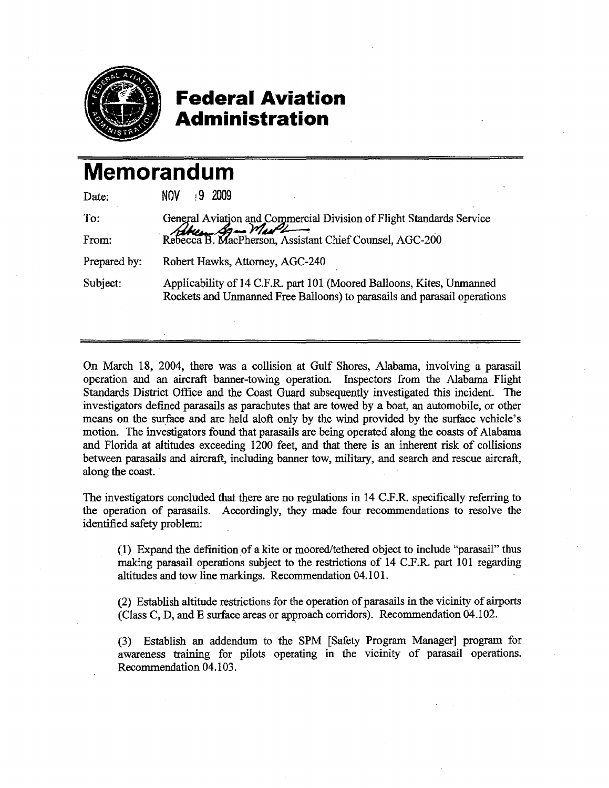

## **Federal Aviation Administration**

## **Memorandum**

| Date:        | 92009<br>NOV.                                                                                                                                     |
|--------------|---------------------------------------------------------------------------------------------------------------------------------------------------|
| To:          | General Aviation and Commercial Division of Flight Standards Service<br>Rebecca B. MacPherson, Assistant Chief Counsel, AGC-200                   |
| From:        |                                                                                                                                                   |
| Prepared by: | Robert Hawks, Attorney, AGC-240                                                                                                                   |
| Subject:     | Applicability of 14 C.F.R. part 101 (Moored Balloons, Kites, Unmanned<br>Rockets and Unmanned Free Balloons) to parasails and parasail operations |

On March 18, 2004, there was a collision at Gulf Shores, Alabama, involving a parasail operation and an aircraft banner-towing operation. Inspectors from the Alabama Flight Standards District Office and the Coast Guard subsequently investigated this incident. The investigators defined parasails as parachutes that are towed by a boat, an automobile, or other means on the surface and are held aloft only by the wind provided by the surface vehicle's motion. The investigators found that parasails are being operated along the coasts of Alabama and Florida at altitudes exceeding 1200 feet, and that there is an inherent risk of collisions between parasails and aircraft, including banner tow, military, and search and rescue aircraft, along the coast.

The investigators concluded that there are no regulations in 14 C.F.R. specifically referring to the operation of parasails. Accordingly, they made four recommendations to resolve the identified safety problem:

(1) Expand the definition of a kite or moored/tethered object to include "parasail" thus making parasail operations subject to the restrictions of 14 C.F.R. part 101 regarding altitudes and tow line markings. Recommendation 04.101.

(2) Establish altitude restrictions for the operation of parasails in the vicinity of airports (Class C, D, and E surface areas or approach corridors). Recommendation 04.102.

(3) Establish an addendum to the SPM [Safety Program Manager] program for awareness training for pilots operating in the vicinity of parasail operations. Recommendation 04.103.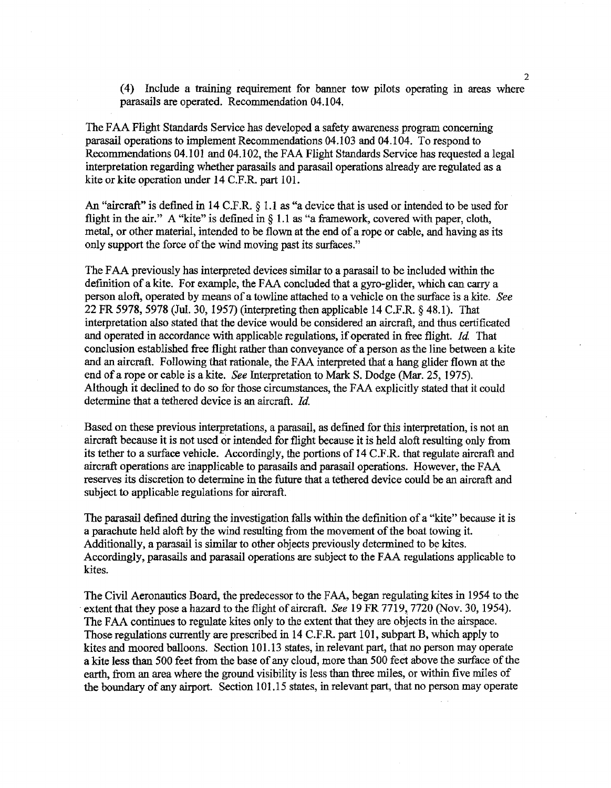(4) Include a training requirement for banner tow pilots operating in areas where parasails are operated. Recommendation 04.104,

The FAA Flight Standards Service has developed a safety awareness program concerning parasail operations to implement Recommendations 04.103 and 04.104 . To respond to Recommendations 04.101 and 04.102, the FAA Flight Standards Service has requested a legal interpretation regarding whether parasails and parasail operations already are regulated as a kite or kite operation under 14 C.F.R part 101.

An "aircraft" is defined in 14 C.F.R. § 1.1 as "a device that is used or intended to be used for flight in the air." A "kite" is defined in  $\S$  1.1 as "a framework, covered with paper, cloth, metal, or other material, intended to be flown at the end of a rope or cable, and having as its only support the force of the wind moving past its surfaces."

The FAA previously has interpreted devices similar to a parasail to be included within the definition of a kite. For example, the FAA concluded that a gyro-glider, which can carry a person aloft, operated by means of a towline attached to a vehicle on the surface is a kite. *See* 22 FR 5978, 5978 (Jul. 30, 1957) (interpreting then applicable 14 C.F.R.  $\&$  48.1). That interpretation also stated that the device would be considered an aircraft, and thus certificated and operated in accordance with applicable regulations, if operated in free flight. *Id* That conclusion established free flight rather than conveyance of a person as the line between a kite and an aircraft. Following that rationale, the FAA interpreted that a hang glider flown at the end of a rope or cable is a kite. *See* Interpretation to Mark S. Dodge (Mar. 25, 1975). Although it declined to do so for those circumstances, the FAA explicitly stated that it could determine that a tethered device is an aircraft. *Id.*

Based on these previous interpretations, a parasail, as defined for this interpretation, is not an aircraft because it is not used or intended for flight because it is held aloft resulting only from its tether to a surface vehicle. Accordingly, the portions of 14 C.F.R. that regulate aircraft and aircraft operations are inapplicable to parasails and parasail operations. However, the FAA reserves its discretion to determine in the future that a tethered device could be an aircraft and subject to applicable regulations for aircraft.

The parasail defined during the investigation falls within the definition of a "kite" because it is a parachute held aloft by the wind resulting from the movement of the boat towing it. Additionally, a parasail is similar to other objects previously determined to be kites. Accordingly, parasails and parasail operations are subject to the FAA regulations applicable to kites.

The Civil Aeronautics Board, the predecessor to the FAA, began regulating kites in 1954 to the . extent that they pose a hazard to the flight of aircraft. *See* 19 FR 7719,. 7720 (Nov. 30, 1954). The FAA continues to regulate kites only to the extent that they are objects in the airspace. Those regulations currently are prescribed in 14 C.F.R. part 101, subpart B, which apply to kites and moored balloons. Section 101.13 states, in relevant part, that no person may operate a kite less than 500 feet from the base of any cloud, more than 500 feet above the surface of the earth, from an area where the ground visibility is less than three miles, or within five miles of the boundary of any airport. Section 101.15 states, in relevant part, that no person may operate

2